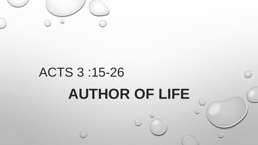

# ACTS 3 :15-26 **AUTHOR OF LIFE**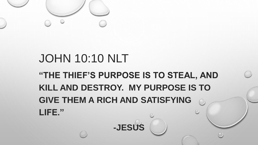

## JOHN 10:10 NLT **"THE THIEF'S PURPOSE IS TO STEAL, AND KILL AND DESTROY. MY PURPOSE IS TO GIVE THEM A RICH AND SATISFYING LIFE."**

**-JESUS**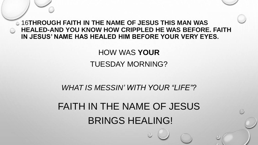16**THROUGH FAITH IN THE NAME OF JESUS THIS MAN WAS HEALED-AND YOU KNOW HOW CRIPPLED HE WAS BEFORE. FAITH IN JESUS' NAME HAS HEALED HIM BEFORE YOUR VERY EYES.** 

#### HOW WAS **YOUR** TUESDAY MORNING?

#### *WHAT IS MESSIN' WITH YOUR "LIFE"?*

### FAITH IN THE NAME OF JESUS BRINGS HEALING!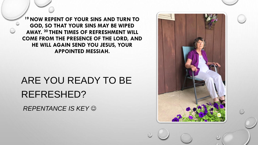**<sup>19</sup> NOW REPENT OF YOUR SINS AND TURN TO GOD, SO THAT YOUR SINS MAY BE WIPED AWAY. <sup>20</sup> THEN TIMES OF REFRESHMENT WILL COME FROM THE PRESENCE OF THE LORD, AND HE WILL AGAIN SEND YOU JESUS, YOUR APPOINTED MESSIAH.** 

# ARE YOU READY TO BE REFRESHED?

*REPENTANCE IS KEY* ☺

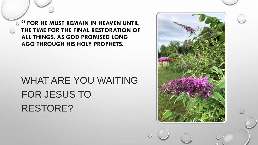**<sup>21</sup> FOR HE MUST REMAIN IN HEAVEN UNTIL THE TIME FOR THE FINAL RESTORATION OF ALL THINGS, AS GOD PROMISED LONG AGO THROUGH HIS HOLY PROPHETS.** 

### WHAT ARE YOU WAITING FOR JESUS TO RESTORE?

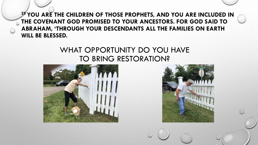**<sup>25</sup> YOU ARE THE CHILDREN OF THOSE PROPHETS, AND YOU ARE INCLUDED IN THE COVENANT GOD PROMISED TO YOUR ANCESTORS. FOR GOD SAID TO ABRAHAM, 'THROUGH YOUR DESCENDANTS ALL THE FAMILIES ON EARTH WILL BE BLESSED.** 

#### WHAT OPPORTUNITY DO YOU HAVE TO BRING RESTORATION?



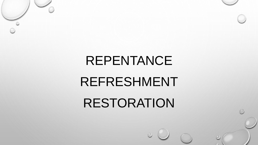# REPENTANCE

# REFRESHMENT

# RESTORATION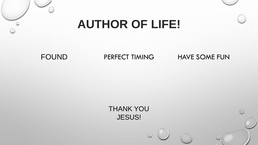### **AUTHOR OF LIFE!**

FOUND PERFECT TIMING

HAVE SOME FUN

THANK YOU JESUS!